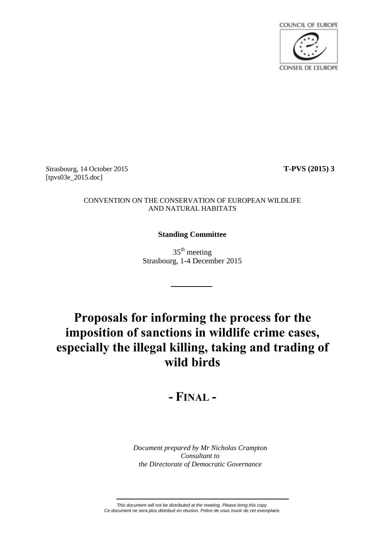

Strasbourg, 14 October 2015 **T-PVS (2015) 3** [tpvs03e\_2015.doc]

#### CONVENTION ON THE CONSERVATION OF EUROPEAN WILDLIFE AND NATURAL HABITATS

## **Standing Committee**

 $35<sup>th</sup>$  meeting Strasbourg, 1-4 December 2015

# **Proposals for informing the process for the imposition of sanctions in wildlife crime cases, especially the illegal killing, taking and trading of wild birds**

## **- FINAL -**

*Document prepared by Mr Nicholas Crampton Consultant to the Directorate of Democratic Governance*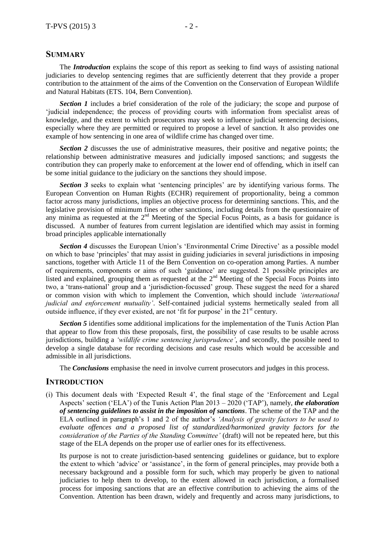#### **SUMMARY**

The *Introduction* explains the scope of this report as seeking to find ways of assisting national judiciaries to develop sentencing regimes that are sufficiently deterrent that they provide a proper contribution to the attainment of the aims of the Convention on the Conservation of European Wildlife and Natural Habitats (ETS. 104, Bern Convention).

**Section 1** includes a brief consideration of the role of the judiciary; the scope and purpose of 'judicial independence; the process of providing courts with information from specialist areas of knowledge, and the extent to which prosecutors may seek to influence judicial sentencing decisions, especially where they are permitted or required to propose a level of sanction. It also provides one example of how sentencing in one area of wildlife crime has changed over time.

**Section 2** discusses the use of administrative measures, their positive and negative points; the relationship between administrative measures and judicially imposed sanctions; and suggests the contribution they can properly make to enforcement at the lower end of offending, which in itself can be some initial guidance to the judiciary on the sanctions they should impose.

**Section 3** seeks to explain what 'sentencing principles' are by identifying various forms. The European Convention on Human Rights (ECHR) requirement of proportionality, being a common factor across many jurisdictions, implies an objective process for determining sanctions. This, and the legislative provision of minimum fines or other sanctions, including details from the questionnaire of any minima as requested at the 2<sup>nd</sup> Meeting of the Special Focus Points, as a basis for guidance is discussed. A number of features from current legislation are identified which may assist in forming broad principles applicable internationally

**Section 4** discusses the European Union's 'Environmental Crime Directive' as a possible model on which to base 'principles' that may assist in guiding judiciaries in several jurisdictions in imposing sanctions, together with Article 11 of the Bern Convention on co-operation among Parties. A number of requirements, components or aims of such 'guidance' are suggested. 21 possible principles are listed and explained, grouping them as requested at the 2<sup>nd</sup> Meeting of the Special Focus Points into two, a 'trans-national' group and a 'jurisdiction-focussed' group. These suggest the need for a shared or common vision with which to implement the Convention, which should include *'international judicial and enforcement mutuality'*. Self-contained judicial systems hermetically sealed from all outside influence, if they ever existed, are not 'fit for purpose' in the  $21<sup>st</sup>$  century.

**Section 5** identifies some additional implications for the implementation of the Tunis Action Plan that appear to flow from this these proposals, first, the possibility of case results to be usable across jurisdictions, building a *'wildlife crime sentencing jurisprudence'*, and secondly, the possible need to develop a single database for recording decisions and case results which would be accessible and admissible in all jurisdictions.

The *Conclusions* emphasise the need in involve current prosecutors and judges in this process.

#### **INTRODUCTION**

(i) This document deals with 'Expected Result 4', the final stage of the 'Enforcement and Legal Aspects' section ('ELA') of the Tunis Action Plan 2013 – 2020 ('TAP'), namely, *the elaboration of sentencing guidelines to assist in the imposition of sanctions*. The scheme of the TAP and the ELA outlined in paragraph's 1 and 2 of the author's *'Analysis of gravity factors to be used to evaluate offences and a proposed list of standardized/harmonized gravity factors for the consideration of the Parties of the Standing Committee'* (draft) will not be repeated here, but this stage of the ELA depends on the proper use of earlier ones for its effectiveness.

Its purpose is not to create jurisdiction-based sentencing guidelines or guidance, but to explore the extent to which 'advice' or 'assistance', in the form of general principles, may provide both a necessary background and a possible form for such, which may properly be given to national judiciaries to help them to develop, to the extent allowed in each jurisdiction, a formalised process for imposing sanctions that are an effective contribution to achieving the aims of the Convention. Attention has been drawn, widely and frequently and across many jurisdictions, to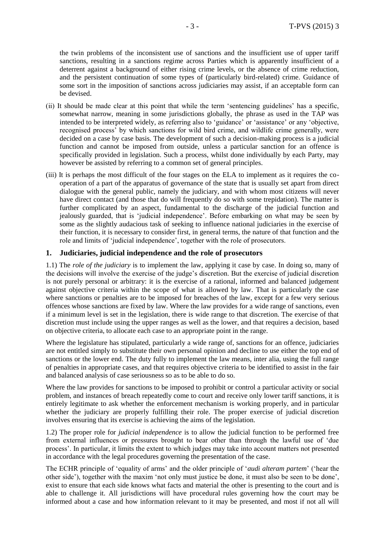the twin problems of the inconsistent use of sanctions and the insufficient use of upper tariff sanctions, resulting in a sanctions regime across Parties which is apparently insufficient of a deterrent against a background of either rising crime levels, or the absence of crime reduction, and the persistent continuation of some types of (particularly bird-related) crime. Guidance of some sort in the imposition of sanctions across judiciaries may assist, if an acceptable form can be devised.

- (ii) It should be made clear at this point that while the term 'sentencing guidelines' has a specific, somewhat narrow, meaning in some jurisdictions globally, the phrase as used in the TAP was intended to be interpreted widely, as referring also to 'guidance' or 'assistance' or any 'objective, recognised process' by which sanctions for wild bird crime, and wildlife crime generally, were decided on a case by case basis. The development of such a decision-making process is a judicial function and cannot be imposed from outside, unless a particular sanction for an offence is specifically provided in legislation. Such a process, whilst done individually by each Party, may however be assisted by referring to a common set of general principles.
- (iii) It is perhaps the most difficult of the four stages on the ELA to implement as it requires the cooperation of a part of the apparatus of governance of the state that is usually set apart from direct dialogue with the general public, namely the judiciary, and with whom most citizens will never have direct contact (and those that do will frequently do so with some trepidation). The matter is further complicated by an aspect, fundamental to the discharge of the judicial function and jealously guarded, that is 'judicial independence'. Before embarking on what may be seen by some as the slightly audacious task of seeking to influence national judiciaries in the exercise of their function, it is necessary to consider first, in general terms, the nature of that function and the role and limits of 'judicial independence', together with the role of prosecutors.

#### **1. Judiciaries, judicial independence and the role of prosecutors**

1.1) The *role of the judiciary* is to implement the law, applying it case by case. In doing so, many of the decisions will involve the exercise of the judge's discretion. But the exercise of judicial discretion is not purely personal or arbitrary: it is the exercise of a rational, informed and balanced judgement against objective criteria within the scope of what is allowed by law. That is particularly the case where sanctions or penalties are to be imposed for breaches of the law, except for a few very serious offences whose sanctions are fixed by law. Where the law provides for a wide range of sanctions, even if a minimum level is set in the legislation, there is wide range to that discretion. The exercise of that discretion must include using the upper ranges as well as the lower, and that requires a decision, based on objective criteria, to allocate each case to an appropriate point in the range.

Where the legislature has stipulated, particularly a wide range of, sanctions for an offence, judiciaries are not entitled simply to substitute their own personal opinion and decline to use either the top end of sanctions or the lower end. The duty fully to implement the law means, inter alia, using the full range of penalties in appropriate cases, and that requires objective criteria to be identified to assist in the fair and balanced analysis of case seriousness so as to be able to do so.

Where the law provides for sanctions to be imposed to prohibit or control a particular activity or social problem, and instances of breach repeatedly come to court and receive only lower tariff sanctions, it is entirely legitimate to ask whether the enforcement mechanism is working properly, and in particular whether the judiciary are properly fulfilling their role. The proper exercise of judicial discretion involves ensuring that its exercise is achieving the aims of the legislation.

1.2) The proper role for *judicial independence* is to allow the judicial function to be performed free from external influences or pressures brought to bear other than through the lawful use of 'due process'. In particular, it limits the extent to which judges may take into account matters not presented in accordance with the legal procedures governing the presentation of the case.

The ECHR principle of 'equality of arms' and the older principle of '*audi alteram partem*' ('hear the other side'), together with the maxim 'not only must justice be done, it must also be seen to be done', exist to ensure that each side knows what facts and material the other is presenting to the court and is able to challenge it. All jurisdictions will have procedural rules governing how the court may be informed about a case and how information relevant to it may be presented, and most if not all will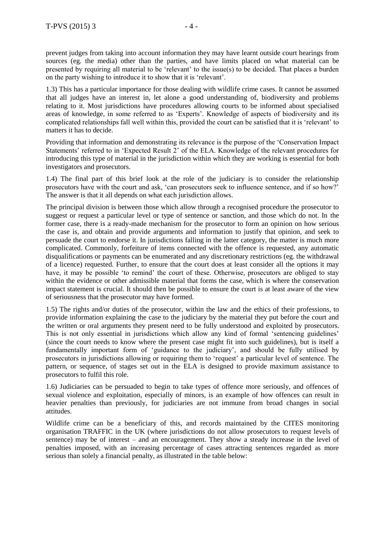prevent judges from taking into account information they may have learnt outside court hearings from sources (eg. the media) other than the parties, and have limits placed on what material can be presented by requiring all material to be 'relevant' to the issue(s) to be decided. That places a burden on the party wishing to introduce it to show that it is 'relevant'.

1.3) This has a particular importance for those dealing with wildlife crime cases. It cannot be assumed that all judges have an interest in, let alone a good understanding of, biodiversity and problems relating to it. Most jurisdictions have procedures allowing courts to be informed about specialised areas of knowledge, in some referred to as 'Experts'. Knowledge of aspects of biodiversity and its complicated relationships fall well within this, provided the court can be satisfied that it is 'relevant' to matters it has to decide.

Providing that information and demonstrating its relevance is the purpose of the 'Conservation Impact Statements' referred to in 'Expected Result 2' of the ELA. Knowledge of the relevant procedures for introducing this type of material in the jurisdiction within which they are working is essential for both investigators and prosecutors.

1.4) The final part of this brief look at the role of the judiciary is to consider the relationship prosecutors have with the court and ask, 'can prosecutors seek to influence sentence, and if so how?' The answer is that it all depends on what each jurisdiction allows.

The principal division is between those which allow through a recognised procedure the prosecutor to suggest or request a particular level or type of sentence or sanction, and those which do not. In the former case, there is a ready-made mechanism for the prosecutor to form an opinion on how serious the case is, and obtain and provide arguments and information to justify that opinion, and seek to persuade the court to endorse it. In jurisdictions falling in the latter category, the matter is much more complicated. Commonly, forfeiture of items connected with the offence is requested, any automatic disqualifications or payments can be enumerated and any discretionary restrictions (eg. the withdrawal of a licence) requested. Further, to ensure that the court does at least consider all the options it may have, it may be possible 'to remind' the court of these. Otherwise, prosecutors are obliged to stay within the evidence or other admissible material that forms the case, which is where the conservation impact statement is crucial. It should then be possible to ensure the court is at least aware of the view of seriousness that the prosecutor may have formed.

1.5) The rights and/or duties of the prosecutor, within the law and the ethics of their professions, to provide information explaining the case to the judiciary by the material they put before the court and the written or oral arguments they present need to be fully understood and exploited by prosecutors. This is not only essential in jurisdictions which allow any kind of formal 'sentencing guidelines' (since the court needs to know where the present case might fit into such guidelines), but is itself a fundamentally important form of 'guidance to the judiciary', and should be fully utilised by prosecutors in jurisdictions allowing or requiring them to 'request' a particular level of sentence. The pattern, or sequence, of stages set out in the ELA is designed to provide maximum assistance to prosecutors to fulfil this role.

1.6) Judiciaries can be persuaded to begin to take types of offence more seriously, and offences of sexual violence and exploitation, especially of minors, is an example of how offences can result in heavier penalties than previously, for judiciaries are not immune from broad changes in social attitudes.

Wildlife crime can be a beneficiary of this, and records maintained by the CITES monitoring organisation TRAFFIC in the UK (where jurisdictions do not allow prosecutors to request levels of sentence) may be of interest – and an encouragement. They show a steady increase in the level of penalties imposed, with an increasing percentage of cases attracting sentences regarded as more serious than solely a financial penalty, as illustrated in the table below: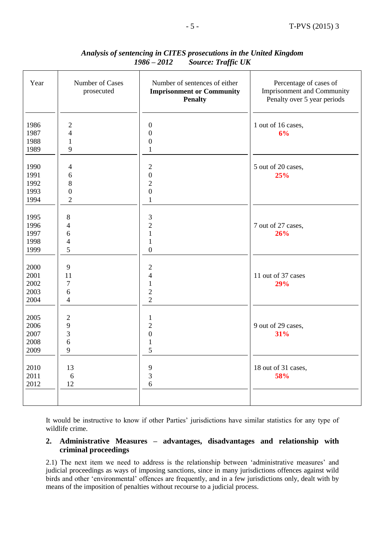| Year         | Number of Cases<br>prosecuted            | Number of sentences of either<br><b>Imprisonment or Community</b><br><b>Penalty</b> | Percentage of cases of<br><b>Imprisonment and Community</b><br>Penalty over 5 year periods |
|--------------|------------------------------------------|-------------------------------------------------------------------------------------|--------------------------------------------------------------------------------------------|
| 1986         | $\mathbf{2}$                             | $\boldsymbol{0}$                                                                    | 1 out of 16 cases,                                                                         |
| 1987<br>1988 | $\overline{\mathcal{L}}$<br>$\mathbf{1}$ | $\boldsymbol{0}$<br>$\boldsymbol{0}$                                                | 6%                                                                                         |
| 1989         | 9                                        | $\mathbf{1}$                                                                        |                                                                                            |
|              |                                          |                                                                                     |                                                                                            |
| 1990         | 4                                        | $\overline{c}$                                                                      | 5 out of 20 cases,                                                                         |
| 1991         | 6                                        | $\boldsymbol{0}$                                                                    | 25%                                                                                        |
| 1992         | 8                                        | $\overline{2}$                                                                      |                                                                                            |
| 1993         | $\mathbf{0}$                             | $\boldsymbol{0}$                                                                    |                                                                                            |
| 1994         | $\overline{2}$                           | $\mathbf{1}$                                                                        |                                                                                            |
|              |                                          |                                                                                     |                                                                                            |
| 1995         | $8\,$                                    | $\mathfrak{Z}$                                                                      |                                                                                            |
| 1996         | $\overline{4}$                           | $\overline{c}$                                                                      | 7 out of 27 cases,                                                                         |
| 1997         | 6                                        | $\mathbf{1}$                                                                        | 26%                                                                                        |
| 1998         | $\overline{4}$                           | $\mathbf{1}$                                                                        |                                                                                            |
| 1999         | 5                                        | $\overline{0}$                                                                      |                                                                                            |
|              |                                          |                                                                                     |                                                                                            |
| 2000<br>2001 | 9<br>11                                  | $\mathbf{2}$<br>$\overline{4}$                                                      | 11 out of 37 cases                                                                         |
| 2002         | $\overline{7}$                           | $\mathbf{1}$                                                                        | 29%                                                                                        |
| 2003         | 6                                        | $\overline{c}$                                                                      |                                                                                            |
| 2004         | $\overline{4}$                           | $\overline{2}$                                                                      |                                                                                            |
|              |                                          |                                                                                     |                                                                                            |
| 2005         | $\sqrt{2}$                               | $\mathbf{1}$                                                                        |                                                                                            |
| 2006         | 9                                        | $\overline{2}$                                                                      | 9 out of 29 cases,                                                                         |
| 2007         | 3                                        | $\boldsymbol{0}$                                                                    | 31%                                                                                        |
| 2008         | 6                                        | $\mathbf{1}$                                                                        |                                                                                            |
| 2009         | 9                                        | 5                                                                                   |                                                                                            |
|              |                                          |                                                                                     |                                                                                            |
| 2010         | 13                                       | 9                                                                                   | 18 out of 31 cases,                                                                        |
| 2011         | 6                                        | 3                                                                                   | 58%                                                                                        |
| 2012         | 12                                       | 6                                                                                   |                                                                                            |
|              |                                          |                                                                                     |                                                                                            |

## *Analysis of sentencing in CITES prosecutions in the United Kingdom 1986 – 2012 Source: Traffic UK*

It would be instructive to know if other Parties' jurisdictions have similar statistics for any type of wildlife crime.

## **2. Administrative Measures – advantages, disadvantages and relationship with criminal proceedings**

2.1) The next item we need to address is the relationship between 'administrative measures' and judicial proceedings as ways of imposing sanctions, since in many jurisdictions offences against wild birds and other 'environmental' offences are frequently, and in a few jurisdictions only, dealt with by means of the imposition of penalties without recourse to a judicial process.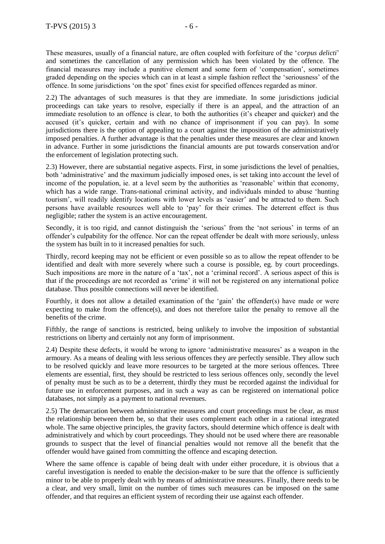These measures, usually of a financial nature, are often coupled with forfeiture of the '*corpus delicti*' and sometimes the cancellation of any permission which has been violated by the offence. The financial measures may include a punitive element and some form of 'compensation', sometimes graded depending on the species which can in at least a simple fashion reflect the 'seriousness' of the offence. In some jurisdictions 'on the spot' fines exist for specified offences regarded as minor.

2.2) The advantages of such measures is that they are immediate. In some jurisdictions judicial proceedings can take years to resolve, especially if there is an appeal, and the attraction of an immediate resolution to an offence is clear, to both the authorities (it's cheaper and quicker) and the accused (it's quicker, certain and with no chance of imprisonment if you can pay). In some jurisdictions there is the option of appealing to a court against the imposition of the administratively imposed penalties. A further advantage is that the penalties under these measures are clear and known in advance. Further in some jurisdictions the financial amounts are put towards conservation and/or the enforcement of legislation protecting such.

2.3) However, there are substantial negative aspects. First, in some jurisdictions the level of penalties, both 'administrative' and the maximum judicially imposed ones, is set taking into account the level of income of the population, ie. at a level seem by the authorities as 'reasonable' within that economy, which has a wide range. Trans-national criminal activity, and individuals minded to abuse 'hunting tourism', will readily identify locations with lower levels as 'easier' and be attracted to them. Such persons have available resources well able to 'pay' for their crimes. The deterrent effect is thus negligible; rather the system is an active encouragement.

Secondly, it is too rigid, and cannot distinguish the 'serious' from the 'not serious' in terms of an offender's culpability for the offence. Nor can the repeat offender be dealt with more seriously, unless the system has built in to it increased penalties for such.

Thirdly, record keeping may not be efficient or even possible so as to allow the repeat offender to be identified and dealt with more severely where such a course is possible, eg. by court proceedings. Such impositions are more in the nature of a 'tax', not a 'criminal record'. A serious aspect of this is that if the proceedings are not recorded as 'crime' it will not be registered on any international police database. Thus possible connections will never be identified.

Fourthly, it does not allow a detailed examination of the 'gain' the offender(s) have made or were expecting to make from the offence(s), and does not therefore tailor the penalty to remove all the benefits of the crime.

Fifthly, the range of sanctions is restricted, being unlikely to involve the imposition of substantial restrictions on liberty and certainly not any form of imprisonment.

2.4) Despite these defects, it would be wrong to ignore 'administrative measures' as a weapon in the armoury. As a means of dealing with less serious offences they are perfectly sensible. They allow such to be resolved quickly and leave more resources to be targeted at the more serious offences. Three elements are essential, first, they should be restricted to less serious offences only, secondly the level of penalty must be such as to be a deterrent, thirdly they must be recorded against the individual for future use in enforcement purposes, and in such a way as can be registered on international police databases, not simply as a payment to national revenues.

2.5) The demarcation between administrative measures and court proceedings must be clear, as must the relationship between them be, so that their uses complement each other in a rational integrated whole. The same objective principles, the gravity factors, should determine which offence is dealt with administratively and which by court proceedings. They should not be used where there are reasonable grounds to suspect that the level of financial penalties would not remove all the benefit that the offender would have gained from committing the offence and escaping detection.

Where the same offence is capable of being dealt with under either procedure, it is obvious that a careful investigation is needed to enable the decision-maker to be sure that the offence is sufficiently minor to be able to properly dealt with by means of administrative measures. Finally, there needs to be a clear, and very small, limit on the number of times such measures can be imposed on the same offender, and that requires an efficient system of recording their use against each offender.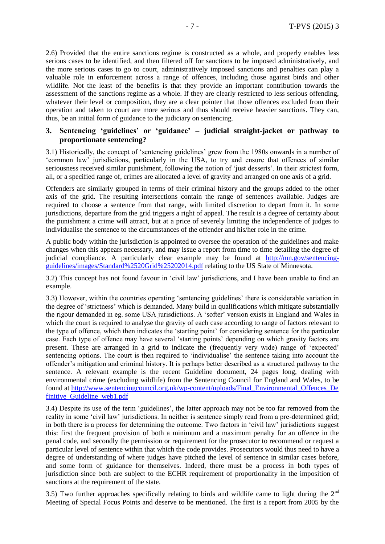2.6) Provided that the entire sanctions regime is constructed as a whole, and properly enables less serious cases to be identified, and then filtered off for sanctions to be imposed administratively, and the more serious cases to go to court, administratively imposed sanctions and penalties can play a valuable role in enforcement across a range of offences, including those against birds and other wildlife. Not the least of the benefits is that they provide an important contribution towards the assessment of the sanctions regime as a whole. If they are clearly restricted to less serious offending, whatever their level or composition, they are a clear pointer that those offences excluded from their operation and taken to court are more serious and thus should receive heavier sanctions. They can, thus, be an initial form of guidance to the judiciary on sentencing.

## **3. Sentencing 'guidelines' or 'guidance' – judicial straight-jacket or pathway to proportionate sentencing?**

3.1) Historically, the concept of 'sentencing guidelines' grew from the 1980s onwards in a number of 'common law' jurisdictions, particularly in the USA, to try and ensure that offences of similar seriousness received similar punishment, following the notion of 'just desserts'. In their strictest form, all, or a specified range of, crimes are allocated a level of gravity and arranged on one axis of a grid.

Offenders are similarly grouped in terms of their criminal history and the groups added to the other axis of the grid. The resulting intersections contain the range of sentences available. Judges are required to choose a sentence from that range, with limited discretion to depart from it. In some jurisdictions, departure from the grid triggers a right of appeal. The result is a degree of certainty about the punishment a crime will attract, but at a price of severely limiting the independence of judges to individualise the sentence to the circumstances of the offender and his/her role in the crime.

A public body within the jurisdiction is appointed to oversee the operation of the guidelines and make changes when this appears necessary, and may issue a report from time to time detailing the degree of judicial compliance. A particularly clear example may be found at [http://mn.gov/sentencing](http://mn.gov/sentencing-guidelines/images/Standard%2520Grid%25202014.pdf)[guidelines/images/Standard%2520Grid%25202014.pdf](http://mn.gov/sentencing-guidelines/images/Standard%2520Grid%25202014.pdf) relating to the US State of Minnesota.

3.2) This concept has not found favour in 'civil law' jurisdictions, and I have been unable to find an example.

3.3) However, within the countries operating 'sentencing guidelines' there is considerable variation in the degree of 'strictness' which is demanded. Many build in qualifications which mitigate substantially the rigour demanded in eg. some USA jurisdictions. A 'softer' version exists in England and Wales in which the court is required to analyse the gravity of each case according to range of factors relevant to the type of offence, which then indicates the 'starting point' for considering sentence for the particular case. Each type of offence may have several 'starting points' depending on which gravity factors are present. These are arranged in a grid to indicate the (frequently very wide) range of 'expected' sentencing options. The court is then required to 'individualise' the sentence taking into account the offender's mitigation and criminal history. It is perhaps better described as a structured pathway to the sentence. A relevant example is the recent Guideline document, 24 pages long, dealing with environmental crime (excluding wildlife) from the Sentencing Council for England and Wales, to be found at [http://www.sentencingcouncil.org.uk/wp-content/uploads/Final\\_Environmental\\_Offences\\_De](http://www.sentencingcouncil.org.uk/wpcontent/uploads/Final_Environmental_Offences_Definitive_Guideline_web1.pdf) finitive Guideline web1.pdf

3.4) Despite its use of the term 'guidelines', the latter approach may not be too far removed from the reality in some 'civil law' jurisdictions. In neither is sentence simply read from a pre-determined grid; in both there is a process for determining the outcome. Two factors in 'civil law' jurisdictions suggest this: first the frequent provision of both a minimum and a maximum penalty for an offence in the penal code, and secondly the permission or requirement for the prosecutor to recommend or request a particular level of sentence within that which the code provides. Prosecutors would thus need to have a degree of understanding of where judges have pitched the level of sentence in similar cases before, and some form of guidance for themselves. Indeed, there must be a process in both types of jurisdiction since both are subject to the ECHR requirement of proportionality in the imposition of sanctions at the requirement of the state.

3.5) Two further approaches specifically relating to birds and wildlife came to light during the  $2<sup>nd</sup>$ Meeting of Special Focus Points and deserve to be mentioned. The first is a report from 2005 by the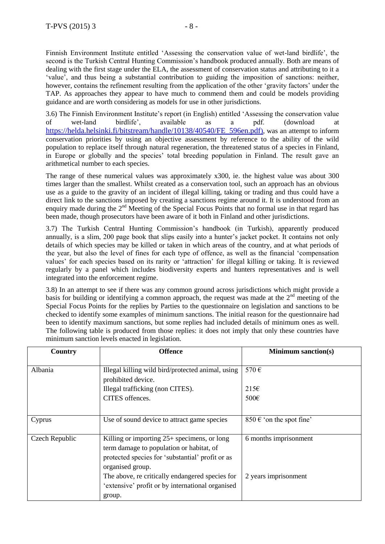Finnish Environment Institute entitled 'Assessing the conservation value of wet-land birdlife', the second is the Turkish Central Hunting Commission's handbook produced annually. Both are means of dealing with the first stage under the ELA, the assessment of conservation status and attributing to it a 'value', and thus being a substantial contribution to guiding the imposition of sanctions: neither, however, contains the refinement resulting from the application of the other 'gravity factors' under the TAP. As approaches they appear to have much to commend them and could be models providing guidance and are worth considering as models for use in other jurisdictions.

3.6) The Finnish Environment Institute's report (in English) entitled 'Assessing the conservation value of wet-land birdlife', available as a pdf. (download at [https://helda.helsinki.fi/bitstream/handle/10138/40540/FE\\_596en.pdf](https://helda.helsinki.fi/bitstream/handle/10138/40540/FE_596en.pdf)), was an attempt to inform conservation priorities by using an objective assessment by reference to the ability of the wild population to replace itself through natural regeneration, the threatened status of a species in Finland, in Europe or globally and the species' total breeding population in Finland. The result gave an arithmetical number to each species.

The range of these numerical values was approximately x300, ie. the highest value was about 300 times larger than the smallest. Whilst created as a conservation tool, such an approach has an obvious use as a guide to the gravity of an incident of illegal killing, taking or trading and thus could have a direct link to the sanctions imposed by creating a sanctions regime around it. It is understood from an enquiry made during the 2<sup>nd</sup> Meeting of the Special Focus Points that no formal use in that regard has been made, though prosecutors have been aware of it both in Finland and other jurisdictions.

3.7) The Turkish Central Hunting Commission's handbook (in Turkish), apparently produced annually, is a slim, 200 page book that slips easily into a hunter's jacket pocket. It contains not only details of which species may be killed or taken in which areas of the country, and at what periods of the year, but also the level of fines for each type of offence, as well as the financial 'compensation values' for each species based on its rarity or 'attraction' for illegal killing or taking. It is reviewed regularly by a panel which includes biodiversity experts and hunters representatives and is well integrated into the enforcement regime.

3.8) In an attempt to see if there was any common ground across jurisdictions which might provide a basis for building or identifying a common approach, the request was made at the  $2<sup>nd</sup>$  meeting of the Special Focus Points for the replies by Parties to the questionnaire on legislation and sanctions to be checked to identify some examples of minimum sanctions. The initial reason for the questionnaire had been to identify maximum sanctions, but some replies had included details of minimum ones as well. The following table is produced from those replies: it does not imply that only these countries have minimum sanction levels enacted in legislation.

| Country        | <b>Offence</b>                                                                                                                                                    | <b>Minimum sanction(s)</b>        |
|----------------|-------------------------------------------------------------------------------------------------------------------------------------------------------------------|-----------------------------------|
| Albania        | Illegal killing wild bird/protected animal, using<br>prohibited device.                                                                                           | 570€                              |
|                | Illegal trafficking (non CITES).                                                                                                                                  | $215\varepsilon$                  |
|                | CITES offences.                                                                                                                                                   | 500€                              |
| Cyprus         | Use of sound device to attract game species                                                                                                                       | 850 $\epsilon$ 'on the spot fine' |
| Czech Republic | Killing or importing $25+$ specimens, or long<br>term damage to population or habitat, of<br>protected species for 'substantial' profit or as<br>organised group. | 6 months imprisonment             |
|                | The above, re critically endangered species for<br>'extensive' profit or by international organised<br>group.                                                     | 2 years imprisonment              |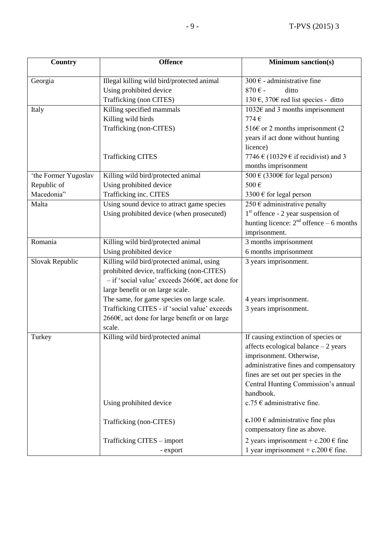| <b>Country</b>       | <b>Offence</b>                                               | <b>Minimum sanction(s)</b>                   |
|----------------------|--------------------------------------------------------------|----------------------------------------------|
|                      |                                                              |                                              |
| Georgia              | Illegal killing wild bird/protected animal                   | 300 € - administrative fine                  |
|                      | Using prohibited device                                      | 870€-<br>ditto                               |
|                      | Trafficking (non CITES)                                      | 130 €, 370€ red list species - ditto         |
| Italy                | Killing specified mammals                                    | 1032 $\varepsilon$ and 3 months imprisonment |
|                      | Killing wild birds                                           | 774€                                         |
|                      | Trafficking (non-CITES)                                      | 516 $\epsilon$ or 2 months imprisonment (2   |
|                      |                                                              | years if act done without hunting            |
|                      |                                                              | licence)                                     |
|                      | <b>Trafficking CITES</b>                                     | 7746 $\in$ (10329 $\in$ if recidivist) and 3 |
|                      |                                                              | months imprisonment                          |
| 'the Former Yugoslav | Killing wild bird/protected animal                           | 500 € (3300€ for legal person)               |
| Republic of          | Using prohibited device                                      | 500€                                         |
| Macedonia"           | Trafficking inc. CITES                                       | 3300 $\epsilon$ for legal person             |
| Malta                | Using sound device to attract game species                   | 250 € administrative penalty                 |
|                      | Using prohibited device (when prosecuted)                    | $1st$ offence - 2 year suspension of         |
|                      |                                                              | hunting licence: $2nd$ offence – 6 months    |
|                      |                                                              | imprisonment.                                |
| Romania              | Killing wild bird/protected animal                           | 3 months imprisonment                        |
|                      | Using prohibited device                                      | 6 months imprisonment                        |
| Slovak Republic      | Killing wild bird/protected animal, using                    | 3 years imprisonment.                        |
|                      | prohibited device, trafficking (non-CITES)                   |                                              |
|                      | $-$ if 'social value' exceeds 2660 $\epsilon$ , act done for |                                              |
|                      | large benefit or on large scale.                             |                                              |
|                      | The same, for game species on large scale.                   | 4 years imprisonment.                        |
|                      | Trafficking CITES - if 'social value' exceeds                | 3 years imprisonment.                        |
|                      | 2660€, act done for large benefit or on large                |                                              |
|                      | scale.                                                       |                                              |
| Turkey               | Killing wild bird/protected animal                           | If causing extinction of species or          |
|                      |                                                              | affects ecological balance $-2$ years        |
|                      |                                                              | imprisonment. Otherwise,                     |
|                      |                                                              | administrative fines and compensatory        |
|                      |                                                              | fines are set out per species in the         |
|                      |                                                              | Central Hunting Commission's annual          |
|                      |                                                              | handbook.                                    |
|                      | Using prohibited device                                      | $c.75 \in$ administrative fine.              |
|                      | Trafficking (non-CITES)                                      | $c.100 \in$ administrative fine plus         |
|                      |                                                              | compensatory fine as above.                  |
|                      | Trafficking CITES - import                                   | 2 years imprisonment + c.200 $\epsilon$ fine |
|                      | - export                                                     | 1 year imprisonment + c.200 $\epsilon$ fine. |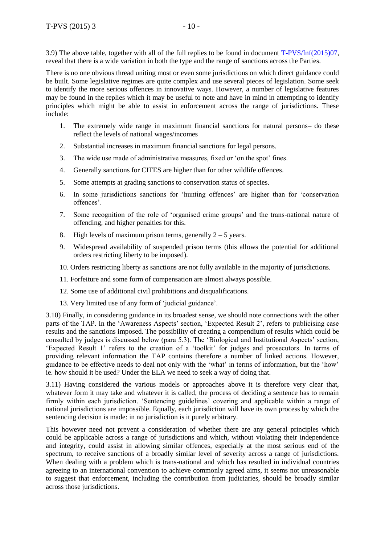3.9) The above table, together with all of the full replies to be found in document [T-PVS/Inf\(2015\)07,](https://wcd.coe.int/ViewDoc.jsp?id=2291125&Site=&BackColorInternet=B9BDEE&BackColorIntranet=FFCD4F&BackColorLogged=FFC679) reveal that there is a wide variation in both the type and the range of sanctions across the Parties.

There is no one obvious thread uniting most or even some jurisdictions on which direct guidance could be built. Some legislative regimes are quite complex and use several pieces of legislation. Some seek to identify the more serious offences in innovative ways. However, a number of legislative features may be found in the replies which it may be useful to note and have in mind in attempting to identify principles which might be able to assist in enforcement across the range of jurisdictions. These include:

- 1. The extremely wide range in maximum financial sanctions for natural persons– do these reflect the levels of national wages/incomes
- 2. Substantial increases in maximum financial sanctions for legal persons.
- 3. The wide use made of administrative measures, fixed or 'on the spot' fines.
- 4. Generally sanctions for CITES are higher than for other wildlife offences.
- 5. Some attempts at grading sanctions to conservation status of species.
- 6. In some jurisdictions sanctions for 'hunting offences' are higher than for 'conservation offences'.
- 7. Some recognition of the role of 'organised crime groups' and the trans-national nature of offending, and higher penalties for this.
- 8. High levels of maximum prison terms, generally  $2 5$  years.
- 9. Widespread availability of suspended prison terms (this allows the potential for additional orders restricting liberty to be imposed).
- 10. Orders restricting liberty as sanctions are not fully available in the majority of jurisdictions.
- 11. Forfeiture and some form of compensation are almost always possible.
- 12. Some use of additional civil prohibitions and disqualifications.
- 13. Very limited use of any form of 'judicial guidance'.

3.10) Finally, in considering guidance in its broadest sense, we should note connections with the other parts of the TAP. In the 'Awareness Aspects' section, 'Expected Result 2', refers to publicising case results and the sanctions imposed. The possibility of creating a compendium of results which could be consulted by judges is discussed below (para 5.3). The 'Biological and Institutional Aspects' section, 'Expected Result 1' refers to the creation of a 'toolkit' for judges and prosecutors. In terms of providing relevant information the TAP contains therefore a number of linked actions. However, guidance to be effective needs to deal not only with the 'what' in terms of information, but the 'how' ie. how should it be used? Under the ELA we need to seek a way of doing that.

3.11) Having considered the various models or approaches above it is therefore very clear that, whatever form it may take and whatever it is called, the process of deciding a sentence has to remain firmly within each jurisdiction. 'Sentencing guidelines' covering and applicable within a range of national jurisdictions are impossible. Equally, each jurisdiction will have its own process by which the sentencing decision is made: in no jurisdiction is it purely arbitrary.

This however need not prevent a consideration of whether there are any general principles which could be applicable across a range of jurisdictions and which, without violating their independence and integrity, could assist in allowing similar offences, especially at the most serious end of the spectrum, to receive sanctions of a broadly similar level of severity across a range of jurisdictions. When dealing with a problem which is trans-national and which has resulted in individual countries agreeing to an international convention to achieve commonly agreed aims, it seems not unreasonable to suggest that enforcement, including the contribution from judiciaries, should be broadly similar across those jurisdictions.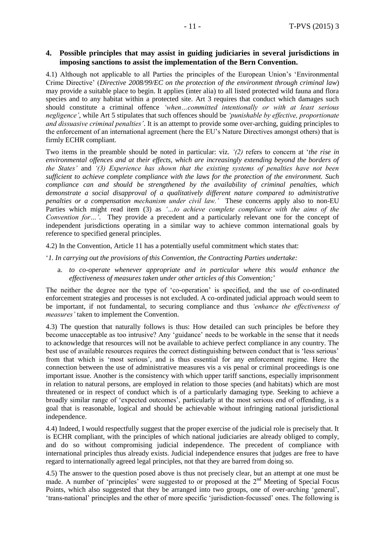## **4. Possible principles that may assist in guiding judiciaries in several jurisdictions in imposing sanctions to assist the implementation of the Bern Convention.**

4.1) Although not applicable to all Parties the principles of the European Union's 'Environmental Crime Directive' (*Directive 2008/99/EC on the protection of the environment through criminal law*) may provide a suitable place to begin. It applies (inter alia) to all listed protected wild fauna and flora species and to any habitat within a protected site. Art 3 requires that conduct which damages such should constitute a criminal offence *'when…committed intentionally or with at least serious negligence'*, while Art 5 stipulates that such offences should be *'punishable by effective, proportionate and dissuasive criminal penalties'*. It is an attempt to provide some over-arching, guiding principles to the enforcement of an international agreement (here the EU's Nature Directives amongst others) that is firmly ECHR compliant.

Two items in the preamble should be noted in particular: viz. *'(2)* refers to concern at '*the rise in environmental offences and at their effects, which are increasingly extending beyond the borders of the States'* and *'(3) Experience has shown that the existing systems of penalties have not been sufficient to achieve complete compliance with the laws for the protection of the environment. Such compliance can and should be strengthened by the availability of criminal penalties, which demonstrate a social disapproval of a qualitatively different nature compared to administrative penalties or a compensation mechanism under civil law.'* These concerns apply also to non-EU Parties which might read item (3) as '...to achieve complete compliance with the aims of the *Convention for…'*. They provide a precedent and a particularly relevant one for the concept of independent jurisdictions operating in a similar way to achieve common international goals by reference to specified general principles.

4.2) In the Convention, Article 11 has a potentially useful commitment which states that:

- '*1. In carrying out the provisions of this Convention, the Contracting Parties undertake:* 
	- a. *to co-operate whenever appropriate and in particular where this would enhance the effectiveness of measures taken under other articles of this Convention;*'

The neither the degree nor the type of 'co-operation' is specified, and the use of co-ordinated enforcement strategies and processes is not excluded. A co-ordinated judicial approach would seem to be important, if not fundamental, to securing compliance and thus *'enhance the effectiveness of measures'* taken to implement the Convention.

4.3) The question that naturally follows is thus: How detailed can such principles be before they become unacceptable as too intrusive? Any 'guidance' needs to be workable in the sense that it needs to acknowledge that resources will not be available to achieve perfect compliance in any country. The best use of available resources requires the correct distinguishing between conduct that is 'less serious' from that which is 'most serious', and is thus essential for any enforcement regime. Here the connection between the use of administrative measures vis a vis penal or criminal proceedings is one important issue. Another is the consistency with which upper tariff sanctions, especially imprisonment in relation to natural persons, are employed in relation to those species (and habitats) which are most threatened or in respect of conduct which is of a particularly damaging type. Seeking to achieve a broadly similar range of 'expected outcomes', particularly at the most serious end of offending, is a goal that is reasonable, logical and should be achievable without infringing national jurisdictional independence.

4.4) Indeed, I would respectfully suggest that the proper exercise of the judicial role is precisely that. It is ECHR compliant, with the principles of which national judiciaries are already obliged to comply, and do so without compromising judicial independence. The precedent of compliance with international principles thus already exists. Judicial independence ensures that judges are free to have regard to internationally agreed legal principles, not that they are barred from doing so.

4.5) The answer to the question posed above is thus not precisely clear, but an attempt at one must be made. A number of 'principles' were suggested to or proposed at the  $2<sup>nd</sup>$  Meeting of Special Focus Points, which also suggested that they be arranged into two groups, one of over-arching 'general', 'trans-national' principles and the other of more specific 'jurisdiction-focussed' ones. The following is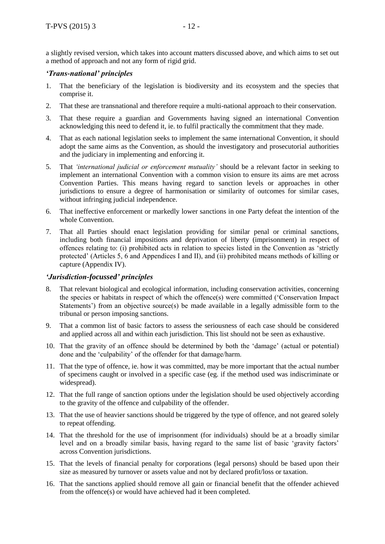a slightly revised version, which takes into account matters discussed above, and which aims to set out a method of approach and not any form of rigid grid.

## *'Trans-national' principles*

- 1. That the beneficiary of the legislation is biodiversity and its ecosystem and the species that comprise it.
- 2. That these are transnational and therefore require a multi-national approach to their conservation.
- 3. That these require a guardian and Governments having signed an international Convention acknowledging this need to defend it, ie. to fulfil practically the commitment that they made.
- 4. That as each national legislation seeks to implement the same international Convention, it should adopt the same aims as the Convention, as should the investigatory and prosecutorial authorities and the judiciary in implementing and enforcing it.
- 5. That *'international judicial or enforcement mutuality'* should be a relevant factor in seeking to implement an international Convention with a common vision to ensure its aims are met across Convention Parties. This means having regard to sanction levels or approaches in other jurisdictions to ensure a degree of harmonisation or similarity of outcomes for similar cases, without infringing judicial independence.
- 6. That ineffective enforcement or markedly lower sanctions in one Party defeat the intention of the whole Convention.
- 7. That all Parties should enact legislation providing for similar penal or criminal sanctions, including both financial impositions and deprivation of liberty (imprisonment) in respect of offences relating to: (i) prohibited acts in relation to species listed in the Convention as 'strictly protected' (Articles 5, 6 and Appendices I and II), and (ii) prohibited means methods of killing or capture (Appendix IV).

#### *'Jurisdiction-focussed' principles*

- 8. That relevant biological and ecological information, including conservation activities, concerning the species or habitats in respect of which the offence(s) were committed ('Conservation Impact Statements') from an objective source(s) be made available in a legally admissible form to the tribunal or person imposing sanctions.
- 9. That a common list of basic factors to assess the seriousness of each case should be considered and applied across all and within each jurisdiction. This list should not be seen as exhaustive.
- 10. That the gravity of an offence should be determined by both the 'damage' (actual or potential) done and the 'culpability' of the offender for that damage/harm.
- 11. That the type of offence, ie. how it was committed, may be more important that the actual number of specimens caught or involved in a specific case (eg. if the method used was indiscriminate or widespread).
- 12. That the full range of sanction options under the legislation should be used objectively according to the gravity of the offence and culpability of the offender.
- 13. That the use of heavier sanctions should be triggered by the type of offence, and not geared solely to repeat offending.
- 14. That the threshold for the use of imprisonment (for individuals) should be at a broadly similar level and on a broadly similar basis, having regard to the same list of basic 'gravity factors' across Convention jurisdictions.
- 15. That the levels of financial penalty for corporations (legal persons) should be based upon their size as measured by turnover or assets value and not by declared profit/loss or taxation.
- 16. That the sanctions applied should remove all gain or financial benefit that the offender achieved from the offence(s) or would have achieved had it been completed.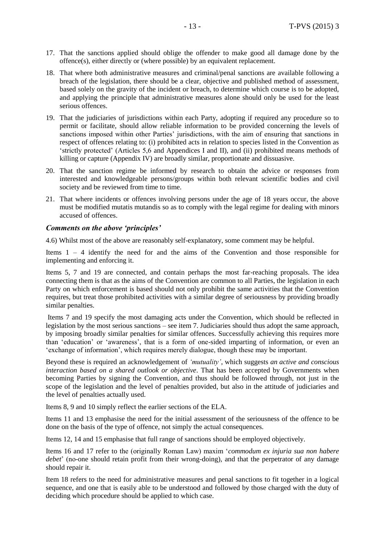- 17. That the sanctions applied should oblige the offender to make good all damage done by the offence(s), either directly or (where possible) by an equivalent replacement.
- 18. That where both administrative measures and criminal/penal sanctions are available following a breach of the legislation, there should be a clear, objective and published method of assessment, based solely on the gravity of the incident or breach, to determine which course is to be adopted, and applying the principle that administrative measures alone should only be used for the least serious offences.
- 19. That the judiciaries of jurisdictions within each Party, adopting if required any procedure so to permit or facilitate, should allow reliable information to be provided concerning the levels of sanctions imposed within other Parties' jurisdictions, with the aim of ensuring that sanctions in respect of offences relating to: (i) prohibited acts in relation to species listed in the Convention as 'strictly protected' (Articles 5,6 and Appendices I and II), and (ii) prohibited means methods of killing or capture (Appendix IV) are broadly similar, proportionate and dissuasive.
- 20. That the sanction regime be informed by research to obtain the advice or responses from interested and knowledgeable persons/groups within both relevant scientific bodies and civil society and be reviewed from time to time.
- 21. That where incidents or offences involving persons under the age of 18 years occur, the above must be modified mutatis mutandis so as to comply with the legal regime for dealing with minors accused of offences.

#### *Comments on the above 'principles'*

4.6) Whilst most of the above are reasonably self-explanatory, some comment may be helpful.

Items 1 – 4 identify the need for and the aims of the Convention and those responsible for implementing and enforcing it.

Items 5, 7 and 19 are connected, and contain perhaps the most far-reaching proposals. The idea connecting them is that as the aims of the Convention are common to all Parties, the legislation in each Party on which enforcement is based should not only prohibit the same activities that the Convention requires, but treat those prohibited activities with a similar degree of seriousness by providing broadly similar penalties.

Items 7 and 19 specify the most damaging acts under the Convention, which should be reflected in legislation by the most serious sanctions – see item 7. Judiciaries should thus adopt the same approach, by imposing broadly similar penalties for similar offences. Successfully achieving this requires more than 'education' or 'awareness', that is a form of one-sided imparting of information, or even an 'exchange of information', which requires merely dialogue, though these may be important.

Beyond these is required an acknowledgement of *'mutuality'*, which suggests *an active and conscious interaction based on a shared outlook or objective*. That has been accepted by Governments when becoming Parties by signing the Convention, and thus should be followed through, not just in the scope of the legislation and the level of penalties provided, but also in the attitude of judiciaries and the level of penalties actually used.

Items 8, 9 and 10 simply reflect the earlier sections of the ELA.

Items 11 and 13 emphasise the need for the initial assessment of the seriousness of the offence to be done on the basis of the type of offence, not simply the actual consequences.

Items 12, 14 and 15 emphasise that full range of sanctions should be employed objectively.

Items 16 and 17 refer to the (originally Roman Law) maxim '*commodum ex injuria sua non habere debet*' (no-one should retain profit from their wrong-doing), and that the perpetrator of any damage should repair it.

Item 18 refers to the need for administrative measures and penal sanctions to fit together in a logical sequence, and one that is easily able to be understood and followed by those charged with the duty of deciding which procedure should be applied to which case.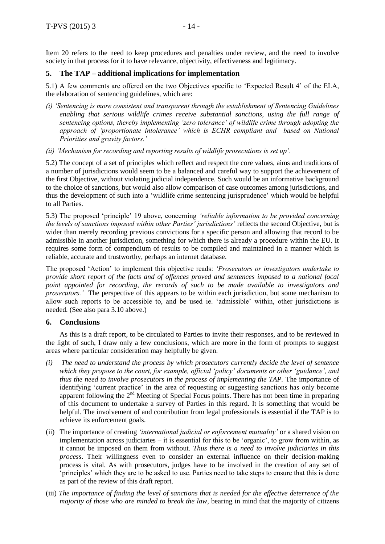Item 20 refers to the need to keep procedures and penalties under review, and the need to involve society in that process for it to have relevance, objectivity, effectiveness and legitimacy.

#### **5. The TAP – additional implications for implementation**

5.1) A few comments are offered on the two Objectives specific to 'Expected Result 4' of the ELA, the elaboration of sentencing guidelines, which are:

- *(i) 'Sentencing is more consistent and transparent through the establishment of Sentencing Guidelines enabling that serious wildlife crimes receive substantial sanctions, using the full range of sentencing options, thereby implementing 'zero tolerance' of wildlife crime through adopting the approach of 'proportionate intolerance' which is ECHR compliant and based on National Priorities and gravity factors.'*
- *(ii) 'Mechanism for recording and reporting results of wildlife prosecutions is set up'.*

5.2) The concept of a set of principles which reflect and respect the core values, aims and traditions of a number of jurisdictions would seem to be a balanced and careful way to support the achievement of the first Objective, without violating judicial independence. Such would be an informative background to the choice of sanctions, but would also allow comparison of case outcomes among jurisdictions, and thus the development of such into a 'wildlife crime sentencing jurisprudence' which would be helpful to all Parties.

5.3) The proposed 'principle' 19 above, concerning *'reliable information to be provided concerning the levels of sanctions imposed within other Parties' jurisdictions'* reflects the second Objective, but is wider than merely recording previous convictions for a specific person and allowing that record to be admissible in another jurisdiction, something for which there is already a procedure within the EU. It requires some form of compendium of results to be compiled and maintained in a manner which is reliable, accurate and trustworthy, perhaps an internet database.

The proposed 'Action' to implement this objective reads: *'Prosecutors or investigators undertake to provide short report of the facts and of offences proved and sentences imposed to a national focal point appointed for recording, the records of such to be made available to investigators and prosecutors.'* The perspective of this appears to be within each jurisdiction, but some mechanism to allow such reports to be accessible to, and be used ie. 'admissible' within, other jurisdictions is needed. (See also para 3.10 above.)

#### **6. Conclusions**

As this is a draft report, to be circulated to Parties to invite their responses, and to be reviewed in the light of such, I draw only a few conclusions, which are more in the form of prompts to suggest areas where particular consideration may helpfully be given.

- *(i) The need to understand the process by which prosecutors currently decide the level of sentence which they propose to the court, for example, official 'policy' documents or other 'guidance', and thus the need to involve prosecutors in the process of implementing the TAP.* The importance of identifying 'current practice' in the area of requesting or suggesting sanctions has only become apparent following the 2nd Meeting of Special Focus points. There has not been time in preparing of this document to undertake a survey of Parties in this regard. It is something that would be helpful. The involvement of and contribution from legal professionals is essential if the TAP is to achieve its enforcement goals.
- (ii) The importance of creating *'international judicial or enforcement mutuality'* or a shared vision on implementation across judiciaries – it is essential for this to be 'organic', to grow from within, as it cannot be imposed on them from without. *Thus there is a need to involve judiciaries in this process*. Their willingness even to consider an external influence on their decision-making process is vital. As with prosecutors, judges have to be involved in the creation of any set of 'principles' which they are to be asked to use. Parties need to take steps to ensure that this is done as part of the review of this draft report.
- (iii) *The importance of finding the level of sanctions that is needed for the effective deterrence of the majority of those who are minded to break the law*, bearing in mind that the majority of citizens